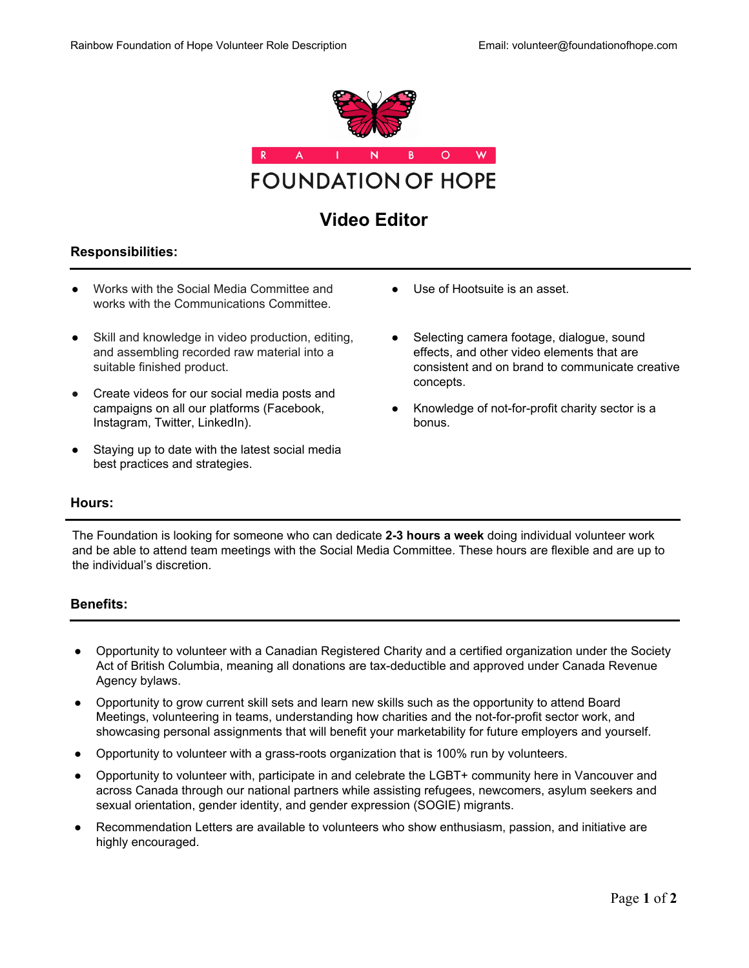

# **Video Editor**

# **Responsibilities:**

- Works with the Social Media Committee and works with the Communications Committee.
- Skill and knowledge in video production, editing, and assembling recorded raw material into a suitable finished product.
- Create videos for our social media posts and campaigns on all our platforms (Facebook, Instagram, Twitter, LinkedIn).
- Staying up to date with the latest social media best practices and strategies.
- Use of Hootsuite is an asset.
- Selecting camera footage, dialogue, sound effects, and other video elements that are consistent and on brand to communicate creative concepts.
- Knowledge of not-for-profit charity sector is a bonus.

## **Hours:**

The Foundation is looking for someone who can dedicate **2-3 hours a week** doing individual volunteer work and be able to attend team meetings with the Social Media Committee. These hours are flexible and are up to the individual's discretion.

# **Benefits:**

- Opportunity to volunteer with a Canadian Registered Charity and a certified organization under the Society Act of British Columbia, meaning all donations are tax-deductible and approved under Canada Revenue Agency bylaws.
- Opportunity to grow current skill sets and learn new skills such as the opportunity to attend Board Meetings, volunteering in teams, understanding how charities and the not-for-profit sector work, and showcasing personal assignments that will benefit your marketability for future employers and yourself.
- Opportunity to volunteer with a grass-roots organization that is 100% run by volunteers.
- Opportunity to volunteer with, participate in and celebrate the LGBT+ community here in Vancouver and across Canada through our national partners while assisting refugees, newcomers, asylum seekers and sexual orientation, gender identity, and gender expression (SOGIE) migrants.
- Recommendation Letters are available to volunteers who show enthusiasm, passion, and initiative are highly encouraged.